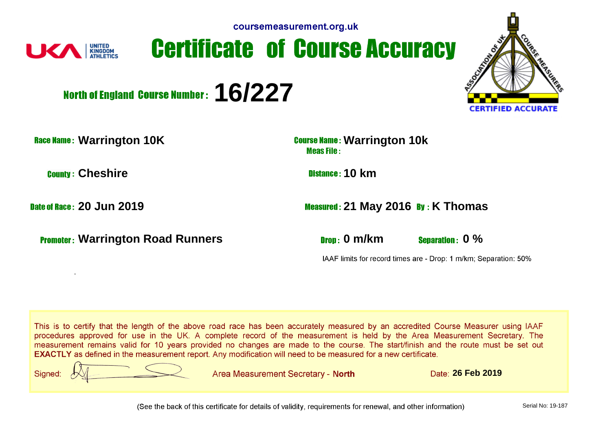

## **Certificate of Course Accuracy**



North of England Course Number: 16/227

**Race Name: Warrington 10K Course Name: Warrington 10k Course Name:** Warrington 10k

**Cheshire 10 km** 

.

**Promoter:** Warrington Road Runners **Drogger Community Community Community Community Community Community Community Community Community Community Community Community Community Community Community Community Community Communi** 

**Date of Race: 20 Jun 2019 2019 2018 21 Measured: 21 May 2016 By: K Thomas** 

IAAF limits for record times are - Drop: 1 m/km; Separation: 50%

This is to certify that the length of the above road race has been accurately measured by an accredited Course Measurer using IAAF procedures approved for use in the UK. A complete record of the measurement is held by the Area Measurement Secretary. The measurement remains valid for 10 years provided no changes are made to the course. The start/finish and the route must be set out **EXACTLY** as defined in the measurement report. Any modification will need to be measured for a new certificate.



Area Measurement Secretary - North

**26 Feb 2019**

(See the back of this certificate for details of validity, requirements for renewal, and other information)